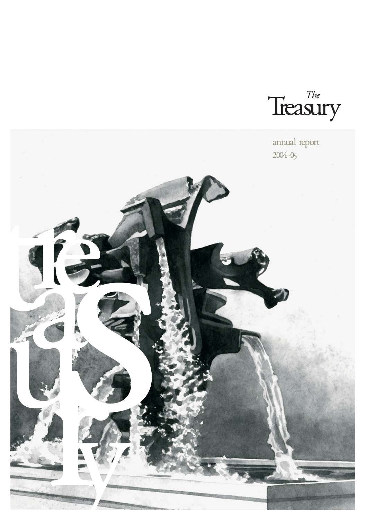Treasury

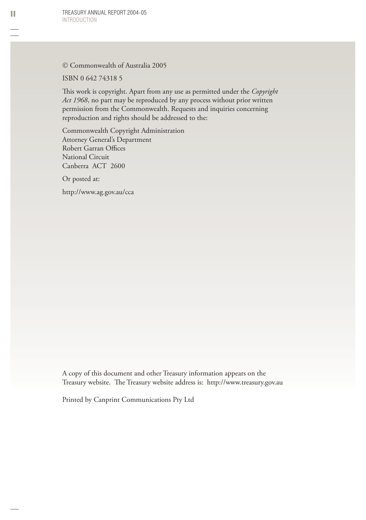© Commonwealth of Australia 2005

ISBN 0 642 74318 5

This work is copyright. Apart from any use as permitted under the *Copyright Act 1968*, no part may be reproduced by any process without prior written permission from the Commonwealth. Requests and inquiries concerning reproduction and rights should be addressed to the:

Commonwealth Copyright Administration Attorney General's Department Robert Garran Offices National Circuit Canberra ACT 2600

Or posted at:

http://www.ag.gov.au/cca

A copy of this document and other Treasury information appears on the Treasury website. The Treasury website address is: http://www.treasury.gov.au

Printed by Canprint Communications Pty Ltd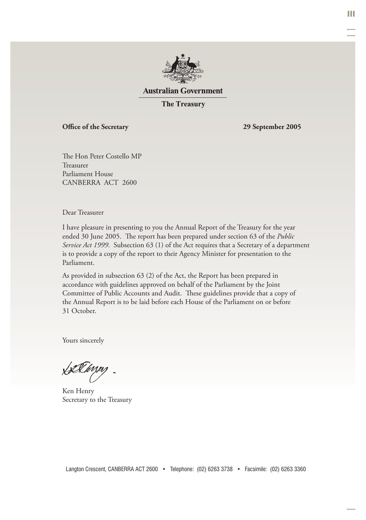

#### **Australian Government**

**The Treasury** 

#### Office of the Secretary 29 September 2005

The Hon Peter Costello MP Treasurer Parliament House CANBERRA ACT 2600

Dear Treasurer

I have pleasure in presenting to you the Annual Report of the Treasury for the year ended 30 June 2005. The report has been prepared under section 63 of the *Public Service Act 1999*. Subsection 63 (1) of the Act requires that a Secretary of a department is to provide a copy of the report to their Agency Minister for presentation to the Parliament.

As provided in subsection 63 (2) of the Act, the Report has been prepared in accordance with guidelines approved on behalf of the Parliament by the Joint Committee of Public Accounts and Audit. These guidelines provide that a copy of the Annual Report is to be laid before each House of the Parliament on or before 31 October.

Yours sincerely

LiXkirpy

Ken Henry Secretary to the Treasury

III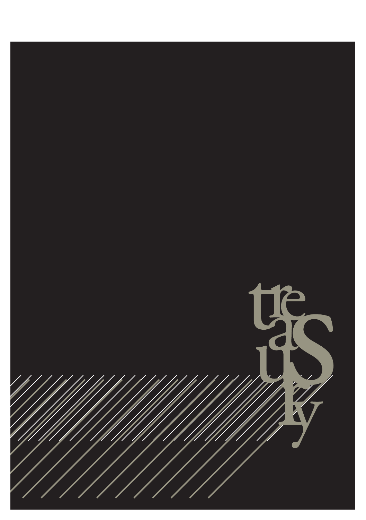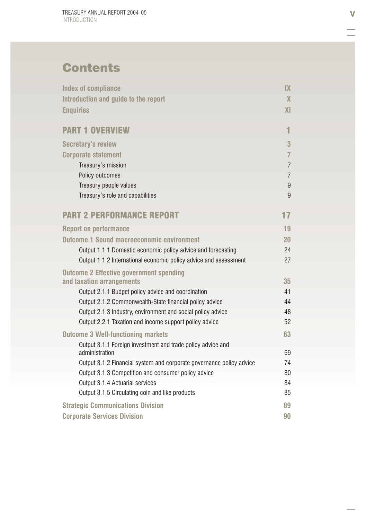# **Contents**

| <b>Index of compliance</b>                                           | IX                      |
|----------------------------------------------------------------------|-------------------------|
| Introduction and guide to the report                                 | $\overline{\mathsf{X}}$ |
| <b>Enquiries</b>                                                     | X <sub>l</sub>          |
| <b>PART 1 OVERVIEW</b>                                               | 1                       |
| <b>Secretary's review</b>                                            | 3                       |
|                                                                      | $\overline{7}$          |
| <b>Corporate statement</b>                                           | $\overline{7}$          |
| Treasury's mission<br>Policy outcomes                                | $\overline{7}$          |
| Treasury people values                                               | 9                       |
| Treasury's role and capabilities                                     | 9                       |
|                                                                      |                         |
| <b>PART 2 PERFORMANCE REPORT</b>                                     | 17                      |
| <b>Report on performance</b>                                         | 19                      |
| <b>Outcome 1 Sound macroeconomic environment</b>                     | 20                      |
| Output 1.1.1 Domestic economic policy advice and forecasting         | 24                      |
| Output 1.1.2 International economic policy advice and assessment     | 27                      |
| <b>Outcome 2 Effective government spending</b>                       |                         |
| and taxation arrangements                                            | 35                      |
| Output 2.1.1 Budget policy advice and coordination                   | 41                      |
| Output 2.1.2 Commonwealth-State financial policy advice              | 44                      |
| Output 2.1.3 Industry, environment and social policy advice          | 48                      |
| Output 2.2.1 Taxation and income support policy advice               | 52                      |
| <b>Outcome 3 Well-functioning markets</b>                            | 63                      |
| Output 3.1.1 Foreign investment and trade policy advice and          |                         |
| administration                                                       | 69                      |
| Output 3.1.2 Financial system and corporate governance policy advice | 74                      |
| Output 3.1.3 Competition and consumer policy advice                  | 80                      |
| Output 3.1.4 Actuarial services                                      | 84                      |
| Output 3.1.5 Circulating coin and like products                      | 85                      |
| <b>Strategic Communications Division</b>                             | 89                      |
| <b>Corporate Services Division</b>                                   | 90                      |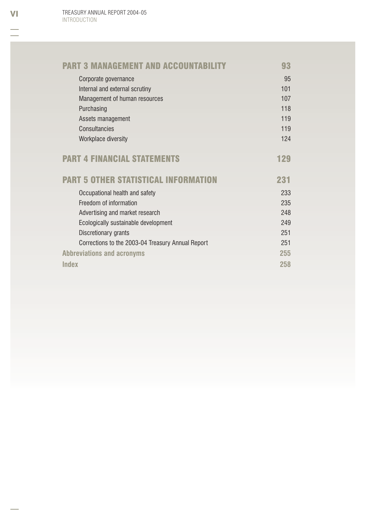| <b>PART 3 MANAGEMENT AND ACCOUNTABILITY</b>       | 93  |
|---------------------------------------------------|-----|
| Corporate governance                              | 95  |
| Internal and external scrutiny                    | 101 |
| Management of human resources                     | 107 |
| Purchasing                                        | 118 |
| Assets management                                 | 119 |
| Consultancies                                     | 119 |
| Workplace diversity                               | 124 |
| <b>PART 4 FINANCIAL STATEMENTS</b>                | 129 |
| <b>PART 5 OTHER STATISTICAL INFORMATION</b>       | 231 |
| Occupational health and safety                    | 233 |
| Freedom of information                            | 235 |
| Advertising and market research                   | 248 |
| Ecologically sustainable development              | 249 |
|                                                   |     |
| Discretionary grants                              | 251 |
| Corrections to the 2003-04 Treasury Annual Report | 251 |
| <b>Abbreviations and acronyms</b>                 | 255 |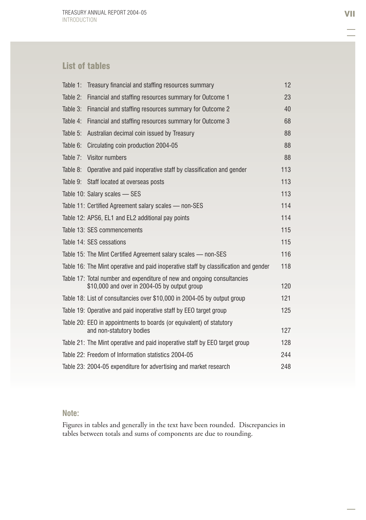### List of tables

|          | Table 1: Treasury financial and staffing resources summary                                                              | 12  |
|----------|-------------------------------------------------------------------------------------------------------------------------|-----|
| Table 2: | Financial and staffing resources summary for Outcome 1                                                                  | 23  |
| Table 3: | Financial and staffing resources summary for Outcome 2                                                                  | 40  |
| Table 4: | Financial and staffing resources summary for Outcome 3                                                                  | 68  |
| Table 5: | Australian decimal coin issued by Treasury                                                                              | 88  |
| Table 6: | Circulating coin production 2004-05                                                                                     | 88  |
| Table 7: | Visitor numbers                                                                                                         | 88  |
| Table 8: | Operative and paid inoperative staff by classification and gender                                                       | 113 |
|          | Table 9: Staff located at overseas posts                                                                                | 113 |
|          | Table 10: Salary scales — SES                                                                                           | 113 |
|          | Table 11: Certified Agreement salary scales - non-SES                                                                   | 114 |
|          | Table 12: APS6, EL1 and EL2 additional pay points                                                                       | 114 |
|          | Table 13: SES commencements                                                                                             | 115 |
|          | Table 14: SES cessations                                                                                                | 115 |
|          | Table 15: The Mint Certified Agreement salary scales — non-SES                                                          | 116 |
|          | Table 16: The Mint operative and paid inoperative staff by classification and gender                                    | 118 |
|          | Table 17: Total number and expenditure of new and ongoing consultancies<br>\$10,000 and over in 2004-05 by output group | 120 |
|          | Table 18: List of consultancies over \$10,000 in 2004-05 by output group                                                | 121 |
|          | Table 19: Operative and paid inoperative staff by EEO target group                                                      | 125 |
|          | Table 20: EEO in appointments to boards (or equivalent) of statutory<br>and non-statutory bodies                        | 127 |
|          | Table 21: The Mint operative and paid inoperative staff by EEO target group                                             | 128 |
|          | Table 22: Freedom of Information statistics 2004-05                                                                     | 244 |
|          | Table 23: 2004-05 expenditure for advertising and market research                                                       | 248 |

#### **Note:**

Figures in tables and generally in the text have been rounded. Discrepancies in tables between totals and sums of components are due to rounding.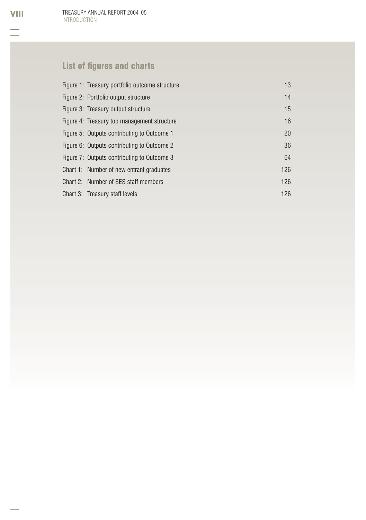TREASURY ANNUAL REPORT 2004-05 INTRODUCTION

# List of figures and charts

| Figure 1: Treasury portfolio outcome structure | 13  |
|------------------------------------------------|-----|
| Figure 2: Portfolio output structure           | 14  |
| Figure 3: Treasury output structure            | 15  |
| Figure 4: Treasury top management structure    | 16  |
| Figure 5: Outputs contributing to Outcome 1    | 20  |
| Figure 6: Outputs contributing to Outcome 2    | 36  |
| Figure 7: Outputs contributing to Outcome 3    | 64  |
| Chart 1: Number of new entrant graduates       | 126 |
| Chart 2: Number of SES staff members           | 126 |
| Chart 3: Treasury staff levels                 | 126 |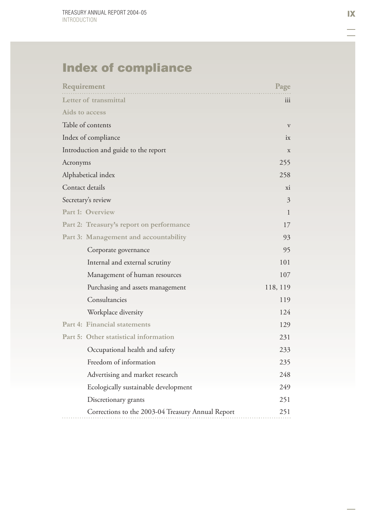# Index of compliance

| Requirement                                       | Page         |
|---------------------------------------------------|--------------|
| Letter of transmittal                             | iii          |
| Aids to access                                    |              |
| Table of contents                                 | $\mathbf{V}$ |
| Index of compliance                               | ix           |
| Introduction and guide to the report              | X            |
| Acronyms                                          | 255          |
| Alphabetical index                                | 258          |
| Contact details                                   | xi           |
| Secretary's review                                | 3            |
| Part 1: Overview                                  | $\mathbf{1}$ |
| Part 2: Treasury's report on performance          | 17           |
| Part 3: Management and accountability             | 93           |
| Corporate governance                              | 95           |
| Internal and external scrutiny                    | 101          |
| Management of human resources                     | 107          |
| Purchasing and assets management                  | 118, 119     |
| Consultancies                                     | 119          |
| Workplace diversity                               | 124          |
| Part 4: Financial statements                      | 129          |
| Part 5: Other statistical information             | 231          |
| Occupational health and safety                    | 233          |
| Freedom of information                            | 235          |
| Advertising and market research                   | 248          |
| Ecologically sustainable development              | 249          |
| Discretionary grants                              | 251          |
| Corrections to the 2003-04 Treasury Annual Report | 251          |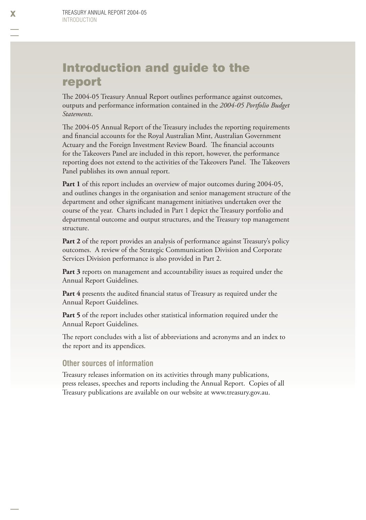### Introduction and guide to the report

The 2004-05 Treasury Annual Report outlines performance against outcomes, outputs and performance information contained in the *2004-05 Portfolio Budget Statements* .

The 2004-05 Annual Report of the Treasury includes the reporting requirements and financial accounts for the Royal Australian Mint, Australian Government Actuary and the Foreign Investment Review Board. The financial accounts for the Takeovers Panel are included in this report, however, the performance reporting does not extend to the activities of the Takeovers Panel. The Takeovers Panel publishes its own annual report.

Part 1 of this report includes an overview of major outcomes during 2004-05, and outlines changes in the organisation and senior management structure of the department and other significant management initiatives undertaken over the course of the year. Charts included in Part 1 depict the Treasury portfolio and departmental outcome and output structures, and the Treasury top management structure.

**Part 2** of the report provides an analysis of performance against Treasury's policy outcomes. A review of the Strategic Communication Division and Corporate Services Division performance is also provided in Part 2.

Part 3 reports on management and accountability issues as required under the Annual Report Guidelines.

**Part 4** presents the audited financial status of Treasury as required under the Annual Report Guidelines.

Part 5 of the report includes other statistical information required under the Annual Report Guidelines.

The report concludes with a list of abbreviations and acronyms and an index to the report and its appendices.

#### **Other sources of information**

Treasury releases information on its activities through many publications, press releases, speeches and reports including the Annual Report. Copies of all Treasury publications are available on our website at www.treasury.gov.au.